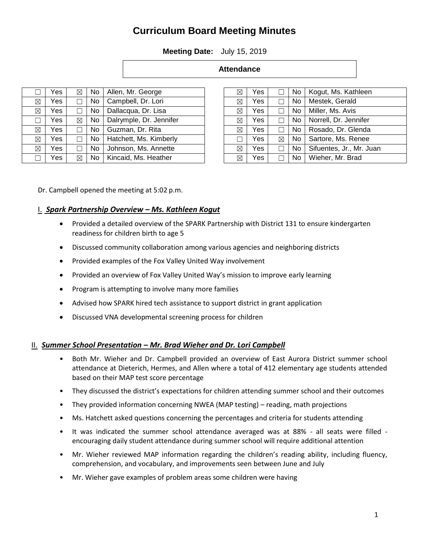# **Curriculum Board Meeting Minutes**

**Meeting Date:** July 15, 2019

| <b>Attendance</b> |
|-------------------|
|-------------------|

|   | Yes | ⊠ | No  | Allen, Mr. George       |
|---|-----|---|-----|-------------------------|
| ⊠ | Yes |   | No  | Campbell, Dr. Lori      |
| ⊠ | Yes |   | No  | Dallacqua, Dr. Lisa     |
|   | Yes | ⊠ | No. | Dalrymple, Dr. Jennifer |
| ⊠ | Yes |   | No  | Guzman, Dr. Rita        |
| ⊠ | Yes |   | No  | Hatchett, Ms. Kimberly  |
| ⊠ | Yes |   | No  | Johnson, Ms. Annette    |
|   | Yes | ⊠ | No. | Kincaid, Ms. Heather    |

| ⊠ | Yes |        | No  | Kogut, Ms. Kathleen      |
|---|-----|--------|-----|--------------------------|
| ⊠ | Yes |        | No. | Mestek, Gerald           |
| ⊠ | Yes |        | No. | Miller, Ms. Avis         |
| ⊠ | Yes |        | No. | Norrell, Dr. Jennifer    |
| ⊠ | Yes | $\Box$ | No  | Rosado, Dr. Glenda       |
|   | Yes | ⊠      | No  | Sartore, Ms. Renee       |
| ⊠ | Yes |        | No. | Sifuentes, Jr., Mr. Juan |
| ⊠ | Yes |        | No  | Wieher, Mr. Brad         |

Dr. Campbell opened the meeting at 5:02 p.m.

# I. *Spark Partnership Overview – Ms. Kathleen Kogut*

- Provided a detailed overview of the SPARK Partnership with District 131 to ensure kindergarten readiness for children birth to age 5
- Discussed community collaboration among various agencies and neighboring districts
- Provided examples of the Fox Valley United Way involvement
- Provided an overview of Fox Valley United Way's mission to improve early learning
- Program is attempting to involve many more families
- Advised how SPARK hired tech assistance to support district in grant application
- Discussed VNA developmental screening process for children

#### II. *Summer School Presentation – Mr. Brad Wieher and Dr. Lori Campbell*

- Both Mr. Wieher and Dr. Campbell provided an overview of East Aurora District summer school attendance at Dieterich, Hermes, and Allen where a total of 412 elementary age students attended based on their MAP test score percentage
- They discussed the district's expectations for children attending summer school and their outcomes
- They provided information concerning NWEA (MAP testing) reading, math projections
- Ms. Hatchett asked questions concerning the percentages and criteria for students attending
- It was indicated the summer school attendance averaged was at 88% all seats were filled encouraging daily student attendance during summer school will require additional attention
- Mr. Wieher reviewed MAP information regarding the children's reading ability, including fluency, comprehension, and vocabulary, and improvements seen between June and July
- Mr. Wieher gave examples of problem areas some children were having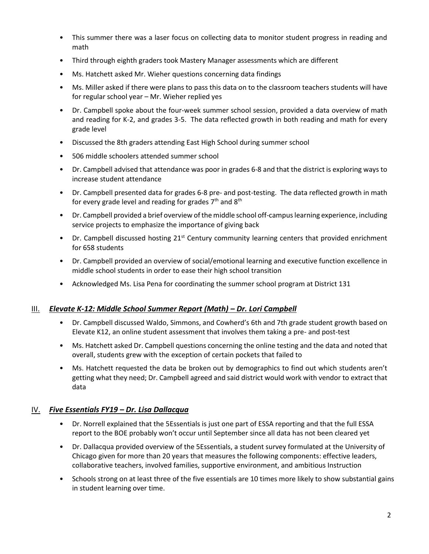- This summer there was a laser focus on collecting data to monitor student progress in reading and math
- Third through eighth graders took Mastery Manager assessments which are different
- Ms. Hatchett asked Mr. Wieher questions concerning data findings
- Ms. Miller asked if there were plans to pass this data on to the classroom teachers students will have for regular school year – Mr. Wieher replied yes
- Dr. Campbell spoke about the four-week summer school session, provided a data overview of math and reading for K-2, and grades 3-5. The data reflected growth in both reading and math for every grade level
- Discussed the 8th graders attending East High School during summer school
- 506 middle schoolers attended summer school
- Dr. Campbell advised that attendance was poor in grades 6-8 and that the district is exploring ways to increase student attendance
- Dr. Campbell presented data for grades 6-8 pre- and post-testing. The data reflected growth in math for every grade level and reading for grades  $7<sup>th</sup>$  and  $8<sup>th</sup>$
- Dr. Campbell provided a brief overview of the middle school off-campus learning experience, including service projects to emphasize the importance of giving back
- Dr. Campbell discussed hosting  $21<sup>st</sup>$  Century community learning centers that provided enrichment for 658 students
- Dr. Campbell provided an overview of social/emotional learning and executive function excellence in middle school students in order to ease their high school transition
- Acknowledged Ms. Lisa Pena for coordinating the summer school program at District 131

#### <u>III. *Elevate K-12: Middle School Summer Report (Math) – Dr. Lori Campbell</u></u>*

- Dr. Campbell discussed Waldo, Simmons, and Cowherd's 6th and 7th grade student growth based on Elevate K12, an online student assessment that involves them taking a pre- and post-test
- Ms. Hatchett asked Dr. Campbell questions concerning the online testing and the data and noted that overall, students grew with the exception of certain pockets that failed to
- Ms. Hatchett requested the data be broken out by demographics to find out which students aren't getting what they need; Dr. Campbell agreed and said district would work with vendor to extract that data

#### IV. *Five Essentials FY19 – Dr. Lisa Dallacqua*

- Dr. Norrell explained that the 5Essentials is just one part of ESSA reporting and that the full ESSA report to the BOE probably won't occur until September since all data has not been cleared yet
- Dr. Dallacqua provided overview of the 5Essentials, a student survey formulated at the University of Chicago given for more than 20 years that measures the following components: effective leaders, collaborative teachers, involved families, supportive environment, and ambitious Instruction
- Schools strong on at least three of the five essentials are 10 times more likely to show substantial gains in student learning over time.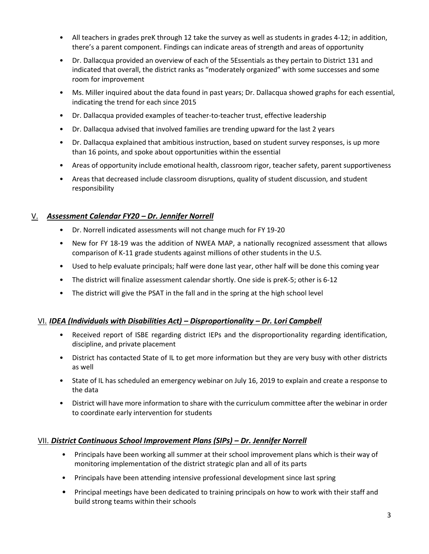- All teachers in grades preK through 12 take the survey as well as students in grades 4-12; in addition, there's a parent component. Findings can indicate areas of strength and areas of opportunity
- Dr. Dallacqua provided an overview of each of the 5Essentials as they pertain to District 131 and indicated that overall, the district ranks as "moderately organized" with some successes and some room for improvement
- Ms. Miller inquired about the data found in past years; Dr. Dallacqua showed graphs for each essential, indicating the trend for each since 2015
- Dr. Dallacqua provided examples of teacher-to-teacher trust, effective leadership
- Dr. Dallacqua advised that involved families are trending upward for the last 2 years
- Dr. Dallacqua explained that ambitious instruction, based on student survey responses, is up more than 16 points, and spoke about opportunities within the essential
- Areas of opportunity include emotional health, classroom rigor, teacher safety, parent supportiveness
- Areas that decreased include classroom disruptions, quality of student discussion, and student responsibility

## V. *Assessment Calendar FY20 – Dr. Jennifer Norrell*

- Dr. Norrell indicated assessments will not change much for FY 19-20
- New for FY 18-19 was the addition of NWEA MAP, a nationally recognized assessment that allows comparison of K-11 grade students against millions of other students in the U.S.
- Used to help evaluate principals; half were done last year, other half will be done this coming year
- The district will finalize assessment calendar shortly. One side is preK-5; other is 6-12
- The district will give the PSAT in the fall and in the spring at the high school level

#### VI. *IDEA (Individuals with Disabilities Act) – Disproportionality – Dr. Lori Campbell*

- Received report of ISBE regarding district IEPs and the disproportionality regarding identification, discipline, and private placement
- District has contacted State of IL to get more information but they are very busy with other districts as well
- State of IL has scheduled an emergency webinar on July 16, 2019 to explain and create a response to the data
- District will have more information to share with the curriculum committee after the webinar in order to coordinate early intervention for students

#### VII. *District Continuous School Improvement Plans (SIPs) – Dr. Jennifer Norrell*

- Principals have been working all summer at their school improvement plans which is their way of monitoring implementation of the district strategic plan and all of its parts
- Principals have been attending intensive professional development since last spring
- Principal meetings have been dedicated to training principals on how to work with their staff and build strong teams within their schools